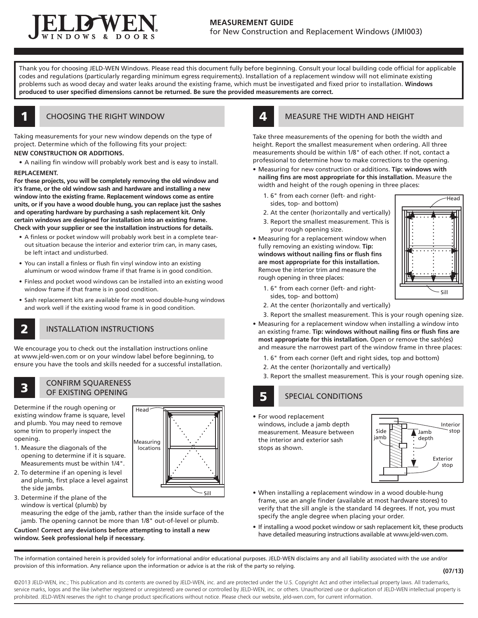

Thank you for choosing JELD-WEN Windows. Please read this document fully before beginning. Consult your local building code official for applicable codes and regulations (particularly regarding minimum egress requirements). Installation of a replacement window will not eliminate existing problems such as wood decay and water leaks around the existing frame, which must be investigated and fixed prior to installation. **Windows produced to user specified dimensions cannot be returned. Be sure the provided measurements are correct.**

# CHOOSING THE RIGHT WINDOW

Taking measurements for your new window depends on the type of project. Determine which of the following fits your project: **NEW CONSTRUCTION OR ADDITIONS.**

• A nailing fin window will probably work best and is easy to install.

### **REPLACEMENT.**

1

2

**For these projects, you will be completely removing the old window and it's frame, or the old window sash and hardware and installing a new window into the existing frame. Replacement windows come as entire units, or if you have a wood double hung, you can replace just the sashes and operating hardware by purchasing a sash replacement kit. Only certain windows are designed for installation into an existing frame. Check with your supplier or see the installation instructions for details.**

- A finless or pocket window will probably work best in a complete tearout situation because the interior and exterior trim can, in many cases, be left intact and undisturbed.
- You can install a finless or flush fin vinyl window into an existing aluminum or wood window frame if that frame is in good condition.
- Finless and pocket wood windows can be installed into an existing wood window frame if that frame is in good condition.
- Sash replacement kits are available for most wood double-hung windows and work well if the existing wood frame is in good condition.

# INSTALLATION INSTRUCTIONS

We encourage you to check out the installation instructions online at www.jeld-wen.com or on your window label before beginning, to ensure you have the tools and skills needed for a successful installation.

# CONFIRM SQUARENESS<br>OF EXISTING OPENING

Determine if the rough opening or existing window frame is square, level and plumb. You may need to remove some trim to properly inspect the opening.

- 1. Measure the diagonals of the opening to determine if it is square. Measurements must be within 1/4".
- 2. To determine if an opening is level and plumb, first place a level against the side jambs.
- 3. Determine if the plane of the window is vertical (plumb) by measuring the edge of the jamb, rather than the inside surface of the

jamb. The opening cannot be more than 1/8" out-of-level or plumb.

Measuring locations

Head<sup>-</sup>

**Caution! Correct any deviations before attempting to install a new window. Seek professional help if necessary.**



## **4 MEASURE THE WIDTH AND HEIGHT**

Take three measurements of the opening for both the width and height. Report the smallest measurement when ordering. All three measurements should be within 1/8" of each other. If not, contact a professional to determine how to make corrections to the opening.

- Measuring for new construction or additions. **Tip: windows with nailing fins are most appropriate for this installation.** Measure the width and height of the rough opening in three places:
	- 1. 6" from each corner (left- and rightsides, top- and bottom)
	- 2. At the center (horizontally and vertically)
	- 3. Report the smallest measurement. This is your rough opening size.
- Measuring for a replacement window when fully removing an existing window. **Tip: windows without nailing fins or flush fins are most appropriate for this installation.** Remove the interior trim and measure the rough opening in three places:



- 1. 6" from each corner (left- and rightsides, top- and bottom)
- 2. At the center (horizontally and vertically)
- 3. Report the smallest measurement. This is your rough opening size.
- Measuring for a replacement window when installing a window into an existing frame. **Tip: windows without nailing fins or flush fins are most appropriate for this installation.** Open or remove the sash(es) and measure the narrowest part of the window frame in three places:
	- 1. 6" from each corner (left and right sides, top and bottom)
	- 2. At the center (horizontally and vertically)
	- 3. Report the smallest measurement. This is your rough opening size.

### SPECIAL CONDITIONS 5

• For wood replacement windows, include a jamb depth measurement. Measure between the interior and exterior sash stops as shown.



- When installing a replacement window in a wood double-hung frame, use an angle finder (available at most hardware stores) to verify that the sill angle is the standard 14 degrees. If not, you must specify the angle degree when placing your order.
- If installing a wood pocket window or sash replacement kit, these products have detailed measuring instructions available at www.jeld-wen.com.

The information contained herein is provided solely for informational and/or educational purposes. JELD-WEN disclaims any and all liability associated with the use and/or provision of this information. Any reliance upon the information or advice is at the risk of the party so relying.

Sill

©2013 JELD-WEN, inc.; This publication and its contents are owned by JELD-WEN, inc. and are protected under the U.S. Copyright Act and other intellectual property laws. All trademarks, service marks, logos and the like (whether registered or unregistered) are owned or controlled by JELD-WEN, inc. or others. Unauthorized use or duplication of JELD-WEN intellectual property is prohibited. JELD-WEN reserves the right to change product specifications without notice. Please check our website, jeld-wen.com, for current information.